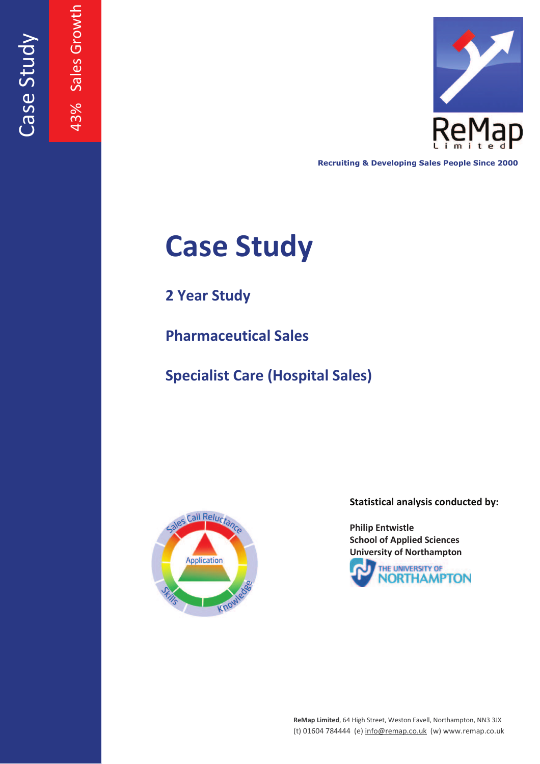



**Recruiting & Developing Sales People Since 2000**

# **Case Study**

**2 Year Study**

**Pharmaceutical Sales**

**Specialist Care (Hospital Sales)**



**Statistical analysis conducted by:**

**Philip Entwistle School of Applied Sciences University of Northampton**



**ReMap Limited**, 64 High Street, Weston Favell, Northampton, NN3 3JX (t) 01604 784444 (e) info@remap.co.uk (w) www.remap.co.uk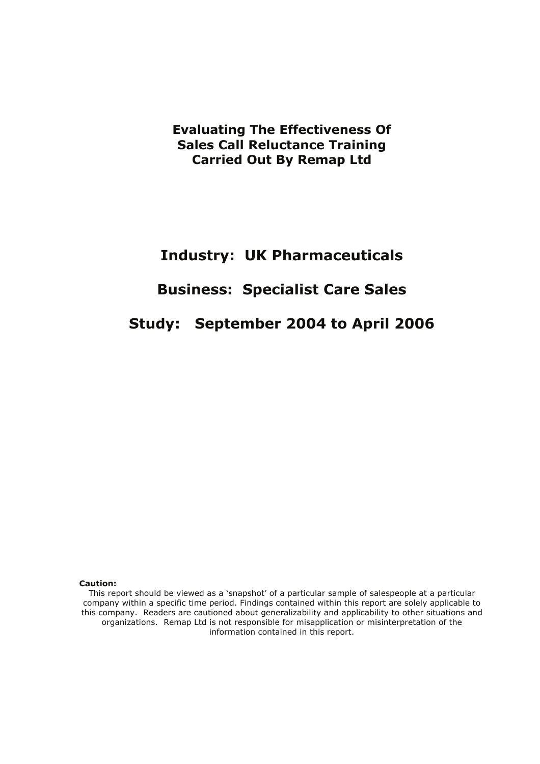**Evaluating The Effectiveness Of Sales Call Reluctance Training Carried Out By Remap Ltd** 

## **Industry: UK Pharmaceuticals**

# **Business: Specialist Care Sales**

# **Study: September 2004 to April 2006**

#### **Caution:**

This report should be viewed as a 'snapshot' of a particular sample of salespeople at a particular company within a specific time period. Findings contained within this report are solely applicable to this company. Readers are cautioned about generalizability and applicability to other situations and organizations. Remap Ltd is not responsible for misapplication or misinterpretation of the information contained in this report.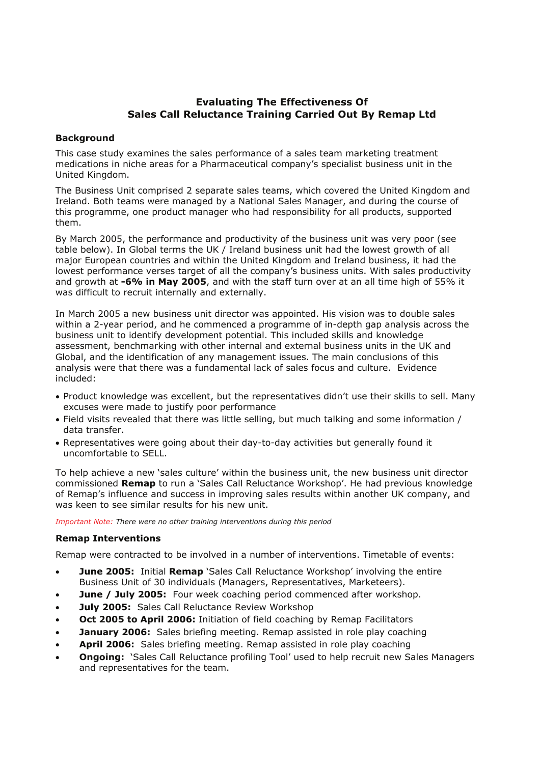## **Evaluating The Effectiveness Of Sales Call Reluctance Training Carried Out By Remap Ltd**

#### **Background**

This case study examines the sales performance of a sales team marketing treatment medications in niche areas for a Pharmaceutical company's specialist business unit in the United Kingdom.

The Business Unit comprised 2 separate sales teams, which covered the United Kingdom and Ireland. Both teams were managed by a National Sales Manager, and during the course of this programme, one product manager who had responsibility for all products, supported them.

By March 2005, the performance and productivity of the business unit was very poor (see table below). In Global terms the UK / Ireland business unit had the lowest growth of all major European countries and within the United Kingdom and Ireland business, it had the lowest performance verses target of all the company's business units. With sales productivity and growth at **-6% in May 2005**, and with the staff turn over at an all time high of 55% it was difficult to recruit internally and externally.

In March 2005 a new business unit director was appointed. His vision was to double sales within a 2-year period, and he commenced a programme of in-depth gap analysis across the business unit to identify development potential. This included skills and knowledge assessment, benchmarking with other internal and external business units in the UK and Global, and the identification of any management issues. The main conclusions of this analysis were that there was a fundamental lack of sales focus and culture. Evidence included:

- Product knowledge was excellent, but the representatives didn't use their skills to sell. Many excuses were made to justify poor performance
- Field visits revealed that there was little selling, but much talking and some information / data transfer.
- Representatives were going about their day-to-day activities but generally found it uncomfortable to SELL.

To help achieve a new 'sales culture' within the business unit, the new business unit director commissioned **Remap** to run a 'Sales Call Reluctance Workshop'. He had previous knowledge of Remap's influence and success in improving sales results within another UK company, and was keen to see similar results for his new unit.

*Important Note: There were no other training interventions during this period* 

#### **Remap Interventions**

Remap were contracted to be involved in a number of interventions. Timetable of events:

- **June 2005:** Initial **Remap** `Sales Call Reluctance Workshop' involving the entire Business Unit of 30 individuals (Managers, Representatives, Marketeers).
- **June / July 2005:** Four week coaching period commenced after workshop.
- **July 2005:** Sales Call Reluctance Review Workshop
- **Oct 2005 to April 2006:** Initiation of field coaching by Remap Facilitators
- **January 2006:** Sales briefing meeting. Remap assisted in role play coaching
- x **April 2006:** Sales briefing meeting. Remap assisted in role play coaching
- **Ongoing:** 'Sales Call Reluctance profiling Tool' used to help recruit new Sales Managers and representatives for the team.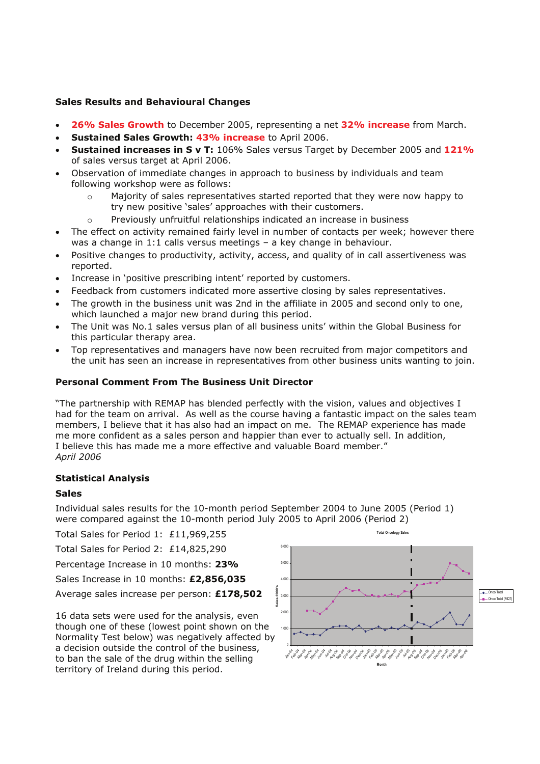#### **Sales Results and Behavioural Changes**

- x **26% Sales Growth** to December 2005, representing a net **32% increase** from March.
- **Sustained Sales Growth: 43% increase** to April 2006.
- x **Sustained increases in S v T:** 106% Sales versus Target by December 2005 and **121%** of sales versus target at April 2006.
- Observation of immediate changes in approach to business by individuals and team following workshop were as follows:
	- o Majority of sales representatives started reported that they were now happy to try new positive 'sales' approaches with their customers.
	- o Previously unfruitful relationships indicated an increase in business
- The effect on activity remained fairly level in number of contacts per week; however there was a change in  $1:1$  calls versus meetings  $-$  a key change in behaviour.
- Positive changes to productivity, activity, access, and quality of in call assertiveness was reported.
- Increase in 'positive prescribing intent' reported by customers.
- Feedback from customers indicated more assertive closing by sales representatives.
- The growth in the business unit was 2nd in the affiliate in 2005 and second only to one, which launched a major new brand during this period.
- The Unit was No.1 sales versus plan of all business units' within the Global Business for this particular therapy area.
- Top representatives and managers have now been recruited from major competitors and the unit has seen an increase in representatives from other business units wanting to join.

#### **Personal Comment From The Business Unit Director**

The partnership with REMAP has blended perfectly with the vision, values and objectives I had for the team on arrival. As well as the course having a fantastic impact on the sales team members, I believe that it has also had an impact on me. The REMAP experience has made me more confident as a sales person and happier than ever to actually sell. In addition, I believe this has made me a more effective and valuable Board member." *April 2006* 

#### **Statistical Analysis**

#### **Sales**

Individual sales results for the 10-month period September 2004 to June 2005 (Period 1) were compared against the 10-month period July 2005 to April 2006 (Period 2)

Total Sales for Period 1: £11,969,255

Total Sales for Period 2: £14,825,290

Percentage Increase in 10 months: **23%**

Sales Increase in 10 months: **£2,856,035**

Average sales increase per person: **£178,502**

16 data sets were used for the analysis, even though one of these (lowest point shown on the Normality Test below) was negatively affected by a decision outside the control of the business, to ban the sale of the drug within the selling territory of Ireland during this period.



**Total Oncology Sales**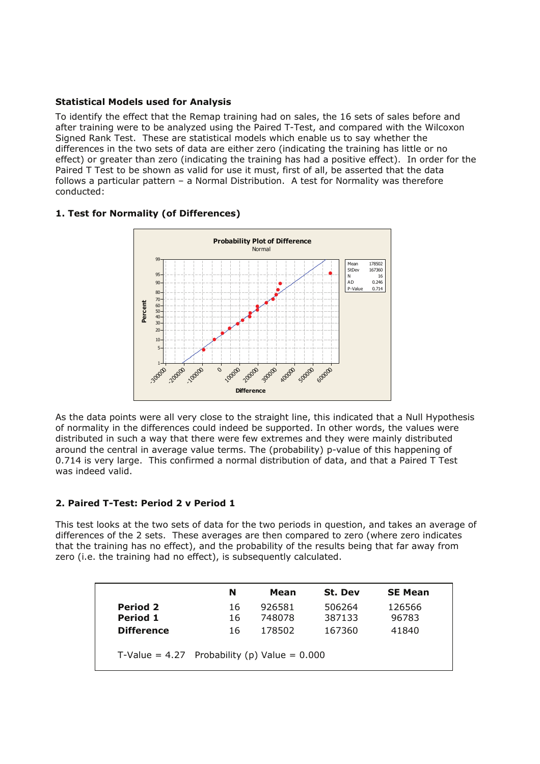#### **Statistical Models used for Analysis**

To identify the effect that the Remap training had on sales, the 16 sets of sales before and after training were to be analyzed using the Paired T-Test, and compared with the Wilcoxon Signed Rank Test. These are statistical models which enable us to say whether the differences in the two sets of data are either zero (indicating the training has little or no effect) or greater than zero (indicating the training has had a positive effect). In order for the Paired T Test to be shown as valid for use it must, first of all, be asserted that the data follows a particular pattern  $-$  a Normal Distribution. A test for Normality was therefore conducted:

### **1. Test for Normality (of Differences)**



As the data points were all very close to the straight line, this indicated that a Null Hypothesis of normality in the differences could indeed be supported. In other words, the values were distributed in such a way that there were few extremes and they were mainly distributed around the central in average value terms. The (probability) p-value of this happening of 0.714 is very large. This confirmed a normal distribution of data, and that a Paired T Test was indeed valid.

#### **2. Paired T-Test: Period 2 v Period 1**

This test looks at the two sets of data for the two periods in question, and takes an average of differences of the 2 sets. These averages are then compared to zero (where zero indicates that the training has no effect), and the probability of the results being that far away from zero (i.e. the training had no effect), is subsequently calculated.

|                   | N                                                | Mean   | St. Dev | <b>SE Mean</b> |  |
|-------------------|--------------------------------------------------|--------|---------|----------------|--|
| <b>Period 2</b>   | 16                                               | 926581 | 506264  | 126566         |  |
| Period 1          | 16                                               | 748078 | 387133  | 96783          |  |
| <b>Difference</b> | 16                                               | 178502 | 167360  | 41840          |  |
|                   | T-Value = $4.27$ Probability (p) Value = $0.000$ |        |         |                |  |